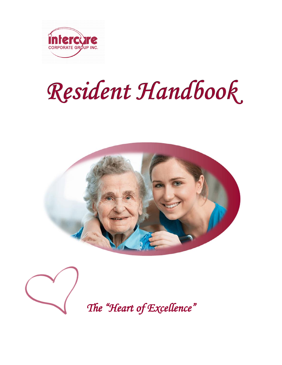

# Resident Handbook.





*The "Heart of Excellence"*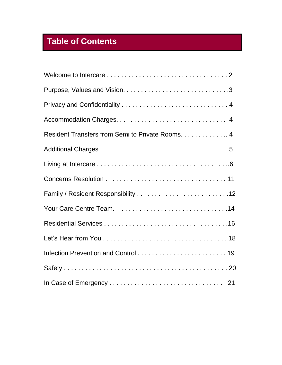# **Table of Contents**

| Resident Transfers from Semi to Private Rooms. 4 |
|--------------------------------------------------|
|                                                  |
|                                                  |
|                                                  |
|                                                  |
|                                                  |
|                                                  |
|                                                  |
|                                                  |
|                                                  |
|                                                  |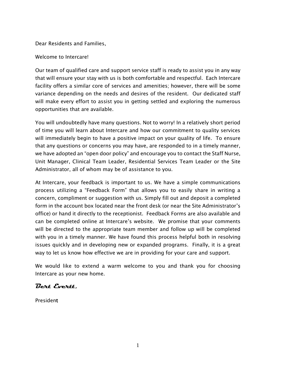Dear Residents and Families,

Welcome to Intercare!

Our team of qualified care and support service staff is ready to assist you in any way that will ensure your stay with us is both comfortable and respectful. Each Intercare facility offers a similar core of services and amenities; however, there will be some variance depending on the needs and desires of the resident. Our dedicated staff will make every effort to assist you in getting settled and exploring the numerous opportunities that are available.

You will undoubtedly have many questions. Not to worry! In a relatively short period of time you will learn about Intercare and how our commitment to quality services will immediately begin to have a positive impact on your quality of life. To ensure that any questions or concerns you may have, are responded to in a timely manner, we have adopted an "open door policy" and encourage you to contact the Staff Nurse, Unit Manager, Clinical Team Leader, Residential Services Team Leader or the Site Administrator, all of whom may be of assistance to you.

At Intercare, your feedback is important to us. We have a simple communications process utilizing a "Feedback Form" that allows you to easily share in writing a concern, compliment or suggestion with us. Simply fill out and deposit a completed form in the account box located near the front desk (or near the Site Administrator's office) or hand it directly to the receptionist. Feedback Forms are also available and can be completed online at Intercare's website. We promise that your comments will be directed to the appropriate team member and follow up will be completed with you in a timely manner. We have found this process helpful both in resolving issues quickly and in developing new or expanded programs. Finally, it is a great way to let us know how effective we are in providing for your care and support.

We would like to extend a warm welcome to you and thank you for choosing Intercare as your new home.

#### **Bert Evertt,**

President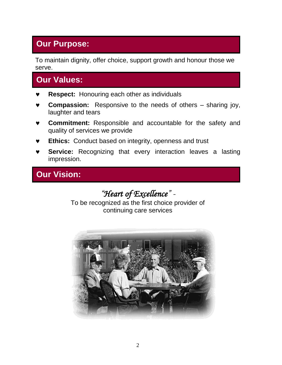# **Our Purpose:**

To maintain dignity, offer choice, support growth and honour those we serve.

# **Our Values:**

- **Respect:** Honouring each other as individuals
- **Compassion:** Responsive to the needs of others sharing joy, laughter and tears
- **Commitment:** Responsible and accountable for the safety and quality of services we provide
- **Ethics:** Conduct based on integrity, openness and trust
- **Service:** Recognizing that every interaction leaves a lasting impression.

# **Our Vision:**

*"Heart of Excellence" -*

To be recognized as the first choice provider of continuing care services

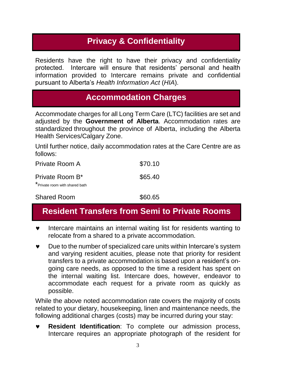# **Privacy & Confidentiality**

Residents have the right to have their privacy and confidentiality protected. Intercare will ensure that residents' personal and health information provided to Intercare remains private and confidential pursuant to Alberta's *Health Information Act* (*HIA*).

#### **Accommodation Charges**

Accommodate charges for all Long Term Care (LTC) facilities are set and adjusted by the **Government of Alberta**. Accommodation rates are standardized throughout the province of Alberta, including the Alberta Health Services/Calgary Zone.

Until further notice, daily accommodation rates at the Care Centre are as follows:

| Private Room A                                                | \$70.10 |
|---------------------------------------------------------------|---------|
| Private Room B <sup>*</sup><br>*Private room with shared bath | \$65.40 |
| <b>Shared Room</b>                                            | \$60.65 |

## **Resident Transfers from Semi to Private Rooms**

- **v** Intercare maintains an internal waiting list for residents wanting to relocate from a shared to a private accommodation.
- Due to the number of specialized care units within Intercare's system and varying resident acuities, please note that priority for resident transfers to a private accommodation is based upon a resident's ongoing care needs, as opposed to the time a resident has spent on the internal waiting list. Intercare does, however, endeavor to accommodate each request for a private room as quickly as possible.

While the above noted accommodation rate covers the majority of costs related to your dietary, housekeeping, linen and maintenance needs, the following additional charges (costs) may be incurred during your stay:

 **Resident Identification**: To complete our admission process, Intercare requires an appropriate photograph of the resident for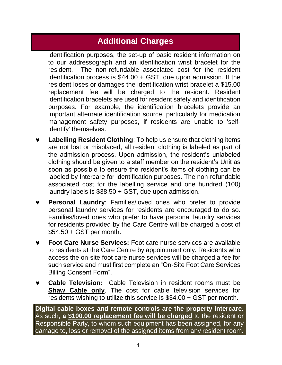# **Additional Charges**

identification purposes, the set-up of basic resident information on to our addressograph and an identification wrist bracelet for the resident. The non-refundable associated cost for the resident identification process is \$44.00 + GST, due upon admission. If the resident loses or damages the identification wrist bracelet a \$15.00 replacement fee will be charged to the resident. Resident identification bracelets are used for resident safety and identification purposes. For example, the identification bracelets provide an important alternate identification source, particularly for medication management safety purposes, if residents are unable to 'selfidentify' themselves.

- **Labelling Resident Clothing**: To help us ensure that clothing items are not lost or misplaced, all resident clothing is labeled as part of the admission process. Upon admission, the resident's unlabeled clothing should be given to a staff member on the resident's Unit as soon as possible to ensure the resident's items of clothing can be labeled by Intercare for identification purposes. The non-refundable associated cost for the labelling service and one hundred (100) laundry labels is \$38.50 + GST, due upon admission.
- **Personal Laundry**: Families/loved ones who prefer to provide personal laundry services for residents are encouraged to do so. Families/loved ones who prefer to have personal laundry services for residents provided by the Care Centre will be charged a cost of \$54.50 + GST per month.
- **Foot Care Nurse Services:** Foot care nurse services are available to residents at the Care Centre by appointment only. Residents who access the on-site foot care nurse services will be charged a fee for such service and must first complete an "On-Site Foot Care Services Billing Consent Form".
- **Cable Television:** Cable Television in resident rooms must be **Shaw Cable only**. The cost for cable television services for residents wishing to utilize this service is \$34.00 + GST per month.

**Digital cable boxes and remote controls are the property Intercare.**  As such, **a \$100.00 replacement fee will be charged** to the resident or Responsible Party, to whom such equipment has been assigned, for any damage to, loss or removal of the assigned items from any resident room.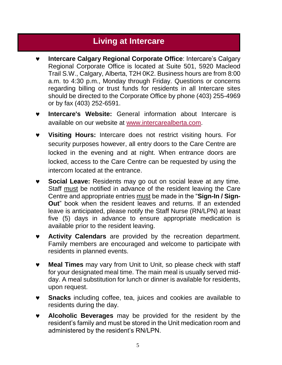#### **Living at Intercare**

- **Intercare Calgary Regional Corporate Office**: Intercare's Calgary Regional Corporate Office is located at Suite 501, 5920 Macleod Trail S.W., Calgary, Alberta, T2H 0K2. Business hours are from 8:00 a.m. to 4:30 p.m., Monday through Friday. Questions or concerns regarding billing or trust funds for residents in all Intercare sites should be directed to the Corporate Office by phone (403) 255-4969 or by fax (403) 252-6591.
- **Intercare's Website:** General information about Intercare is available on our website at [www.intercarealberta.com.](http://www.intercarealberta.com/)
- **Visiting Hours:** Intercare does not restrict visiting hours. For security purposes however, all entry doors to the Care Centre are locked in the evening and at night. When entrance doors are locked, access to the Care Centre can be requested by using the intercom located at the entrance.
- **Social Leave:** Residents may go out on social leave at any time. Staff must be notified in advance of the resident leaving the Care Centre and appropriate entries must be made in the "**Sign-In / Sign-Out**" book when the resident leaves and returns. If an extended leave is anticipated, please notify the Staff Nurse (RN/LPN) at least five (5) days in advance to ensure appropriate medication is available prior to the resident leaving.
- **Activity Calendars** are provided by the recreation department. Family members are encouraged and welcome to participate with residents in planned events.
- **Meal Times** may vary from Unit to Unit, so please check with staff for your designated meal time. The main meal is usually served midday. A meal substitution for lunch or dinner is available for residents, upon request.
- **Snacks** including coffee, tea, juices and cookies are available to residents during the day.
- **Alcoholic Beverages** may be provided for the resident by the resident's family and must be stored in the Unit medication room and administered by the resident's RN/LPN.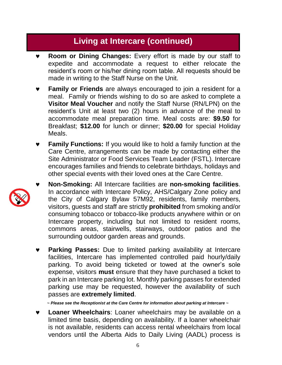- **Room or Dining Changes:** Every effort is made by our staff to expedite and accommodate a request to either relocate the resident's room or his/her dining room table. All requests should be made in writing to the Staff Nurse on the Unit.
- **Family or Friends** are always encouraged to join a resident for a meal. Family or friends wishing to do so are asked to complete a **Visitor Meal Voucher** and notify the Staff Nurse (RN/LPN) on the resident's Unit at least two (2) hours in advance of the meal to accommodate meal preparation time. Meal costs are: **\$9.50** for Breakfast; **\$12.00** for lunch or dinner; **\$20.00** for special Holiday Meals.
- **Family Functions:** If you would like to hold a family function at the Care Centre, arrangements can be made by contacting either the Site Administrator or Food Services Team Leader (FSTL). Intercare encourages families and friends to celebrate birthdays, holidays and other special events with their loved ones at the Care Centre.
- **Non-Smoking:** All Intercare facilities are **non-smoking facilities**. In accordance with Intercare Policy, AHS/Calgary Zone policy and the City of Calgary Bylaw 57M92, residents, family members, visitors, guests and staff are strictly **prohibited** from smoking and/or consuming tobacco or tobacco-like products anywhere within or on Intercare property, including but not limited to resident rooms, commons areas, stairwells, stairways, outdoor patios and the surrounding outdoor garden areas and grounds.
	- **Parking Passes:** Due to limited parking availability at Intercare facilities, Intercare has implemented controlled paid hourly/daily parking. To avoid being ticketed or towed at the owner's sole expense, visitors **must** ensure that they have purchased a ticket to park in an Intercare parking lot. Monthly parking passes for extended parking use may be requested, however the availability of such passes are **extremely limited**.

*~ Please see the Receptionist at the Care Centre for information about parking at Intercare ~*

 **Loaner Wheelchairs**: Loaner wheelchairs may be available on a limited time basis, depending on availability. If a loaner wheelchair is not available, residents can access rental wheelchairs from local vendors until the Alberta Aids to Daily Living (AADL) process is

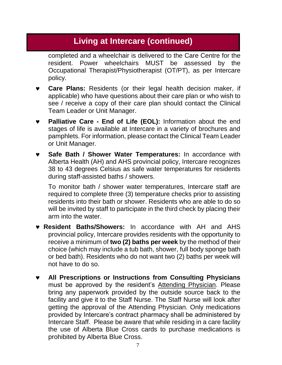completed and a wheelchair is delivered to the Care Centre for the resident. Power wheelchairs MUST be assessed by the Occupational Therapist/Physiotherapist (OT/PT), as per Intercare policy.

- **Care Plans:** Residents (or their legal health decision maker, if applicable) who have questions about their care plan or who wish to see / receive a copy of their care plan should contact the Clinical Team Leader or Unit Manager.
- **Palliative Care - End of Life (EOL):** Information about the end stages of life is available at Intercare in a variety of brochures and pamphlets. For information, please contact the Clinical Team Leader or Unit Manager.
- **Safe Bath / Shower Water Temperatures:** In accordance with Alberta Health (AH) and AHS provincial policy, Intercare recognizes 38 to 43 degrees Celsius as safe water temperatures for residents during staff-assisted baths / showers.

To monitor bath / shower water temperatures, Intercare staff are required to complete three (3) temperature checks prior to assisting residents into their bath or shower. Residents who are able to do so will be invited by staff to participate in the third check by placing their arm into the water.

- **Resident Baths/Showers:** In accordance with AH and AHS provincial policy, Intercare provides residents with the opportunity to receive a minimum of **two (2) baths per week** by the method of their choice (which may include a tub bath, shower, full body sponge bath or bed bath). Residents who do not want two (2) baths per week will not have to do so.
- **All Prescriptions or Instructions from Consulting Physicians** must be approved by the resident's Attending Physician. Please bring any paperwork provided by the outside source back to the facility and give it to the Staff Nurse. The Staff Nurse will look after getting the approval of the Attending Physician. Only medications provided by Intercare's contract pharmacy shall be administered by Intercare Staff. Please be aware that while residing in a care facility the use of Alberta Blue Cross cards to purchase medications is prohibited by Alberta Blue Cross.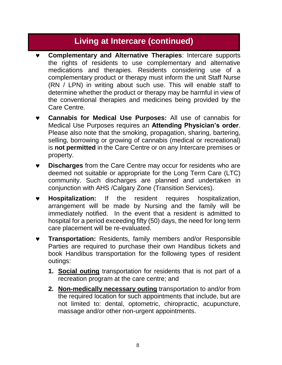- **Complementary and Alternative Therapies**: Intercare supports the rights of residents to use complementary and alternative medications and therapies. Residents considering use of a complementary product or therapy must inform the unit Staff Nurse (RN / LPN) in writing about such use. This will enable staff to determine whether the product or therapy may be harmful in view of the conventional therapies and medicines being provided by the Care Centre.
- **Cannabis for Medical Use Purposes:** All use of cannabis for Medical Use Purposes requires an **Attending Physician's order**. Please also note that the smoking, propagation, sharing, bartering, selling, borrowing or growing of cannabis (medical or recreational) is **not permitted** in the Care Centre or on any Intercare premises or property.
- **Discharges** from the Care Centre may occur for residents who are deemed not suitable or appropriate for the Long Term Care (LTC) community. Such discharges are planned and undertaken in conjunction with AHS /Calgary Zone (Transition Services).
- **Hospitalization:** If the resident requires hospitalization, arrangement will be made by Nursing and the family will be immediately notified. In the event that a resident is admitted to hospital for a period exceeding fifty (50) days, the need for long term care placement will be re-evaluated.
- **Transportation:** Residents, family members and/or Responsible Parties are required to purchase their own Handibus tickets and book Handibus transportation for the following types of resident outings:
	- **1. Social outing** transportation for residents that is not part of a recreation program at the care centre; and
	- **2. Non-medically necessary outing** transportation to and/or from the required location for such appointments that include, but are not limited to: dental, optometric, chiropractic, acupuncture, massage and/or other non-urgent appointments.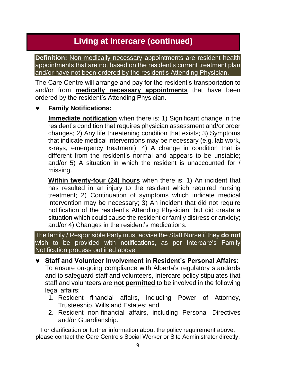**Definition:** Non-medically necessary appointments are resident health appointments that are not based on the resident's current treatment plan and/or have not been ordered by the resident's Attending Physician.

The Care Centre will arrange and pay for the resident's transportation to and/or from **medically necessary appointments** that have been ordered by the resident's Attending Physician.

#### **Family Notifications:**

**Immediate notification** when there is: 1) Significant change in the resident's condition that requires physician assessment and/or order changes; 2) Any life threatening condition that exists; 3) Symptoms that indicate medical interventions may be necessary (e.g. lab work, x-rays, emergency treatment); 4) A change in condition that is different from the resident's normal and appears to be unstable; and/or 5) A situation in which the resident is unaccounted for / missing.

**Within twenty-four (24) hours** when there is: 1) An incident that has resulted in an injury to the resident which required nursing treatment; 2) Continuation of symptoms which indicate medical intervention may be necessary; 3) An incident that did not require notification of the resident's Attending Physician, but did create a situation which could cause the resident or family distress or anxiety; and/or 4) Changes in the resident's medications.

The family / Responsible Party must advise the Staff Nurse if they **do not** wish to be provided with notifications, as per Intercare's Family Notification process outlined above.

- **Staff and Volunteer Involvement in Resident's Personal Affairs:**  To ensure on-going compliance with Alberta's regulatory standards and to safeguard staff and volunteers, Intercare policy stipulates that staff and volunteers are **not permitted** to be involved in the following legal affairs:
	- 1. Resident financial affairs, including Power of Attorney, Trusteeship, Wills and Estates; and
	- 2. Resident non-financial affairs, including Personal Directives and/or Guardianship.

For clarification or further information about the policy requirement above, please contact the Care Centre's Social Worker or Site Administrator directly.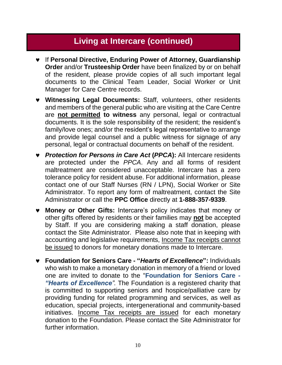- If **Personal Directive, Enduring Power of Attorney, Guardianship Order** and/or **Trusteeship Order** have been finalized by or on behalf of the resident, please provide copies of all such important legal documents to the Clinical Team Leader, Social Worker or Unit Manager for Care Centre records.
- **Witnessing Legal Documents:** Staff, volunteers, other residents and members of the general public who are visiting at the Care Centre are **not permitted to witness** any personal, legal or contractual documents. It is the sole responsibility of the resident; the resident's family/love ones; and/or the resident's legal representative to arrange and provide legal counsel and a public witness for signage of any personal, legal or contractual documents on behalf of the resident.
- *Protection for Persons in Care Act* **(***PPCA***):** All Intercare residents are protected under the *PPCA*. Any and all forms of resident maltreatment are considered unacceptable. Intercare has a zero tolerance policy for resident abuse. For additional information, please contact one of our Staff Nurses (RN / LPN), Social Worker or Site Administrator. To report any form of maltreatment, contact the Site Administrator or call the **PPC Office** directly at **1-888-357-9339**.
- **Money or Other Gifts:** Intercare's policy indicates that money or other gifts offered by residents or their families may **not** be accepted by Staff. If you are considering making a staff donation, please contact the Site Administrator. Please also note that in keeping with accounting and legislative requirements, Income Tax receipts cannot be issued to donors for monetary donations made to Intercare.
- **Foundation for Seniors Care - "***Hearts of Excellence***":** Individuals who wish to make a monetary donation in memory of a friend or loved one are invited to donate to the "**Foundation for Seniors Care** *- "Hearts of Excellence".* The Foundation is a registered charity that is committed to supporting seniors and hospice/palliative care by providing funding for related programming and services, as well as education, special projects, intergenerational and community-based initiatives. Income Tax receipts are issued for each monetary donation to the Foundation. Please contact the Site Administrator for further information.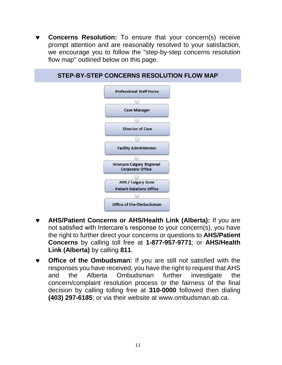**Concerns Resolution:** To ensure that your concern(s) receive prompt attention and are reasonably resolved to your satisfaction, we encourage you to follow the "step-by-step concerns resolution flow map" outlined below on this page.



- **AHS/Patient Concerns or AHS/Health Link (Alberta):** If you are not satisfied with Intercare's response to your concern(s), you have the right to further direct your concerns or questions to **AHS/Patient Concerns** by calling toll free at **1-877-957-9771**; or **AHS/Health Link (Alberta)** by calling **811**.
- **Office of the Ombudsman:** If you are still not satisfied with the responses you have received, you have the right to request that AHS and the Alberta Ombudsman further investigate the concern/complaint resolution process or the fairness of the final decision by calling tolling free at **310-0000** followed then dialing **(403) 297-6185**; or via their website at [www.ombudsman.ab.ca.](http://www.ombudsman.ab.ca/)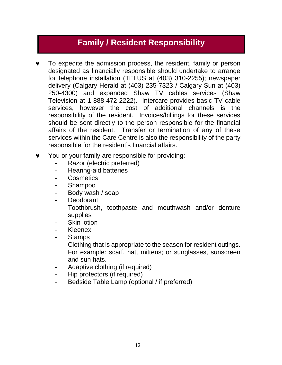# **Family / Resident Responsibility**

- To expedite the admission process, the resident, family or person designated as financially responsible should undertake to arrange for telephone installation (TELUS at (403) 310-2255); newspaper delivery (Calgary Herald at (403) 235-7323 / Calgary Sun at (403) 250-4300) and expanded Shaw TV cables services (Shaw Television at 1-888-472-2222). Intercare provides basic TV cable services, however the cost of additional channels is the responsibility of the resident. Invoices/billings for these services should be sent directly to the person responsible for the financial affairs of the resident. Transfer or termination of any of these services within the Care Centre is also the responsibility of the party responsible for the resident's financial affairs.
- You or your family are responsible for providing:
	- Razor (electric preferred)
	- Hearing-aid batteries
	- **Cosmetics**
	- Shampoo
	- Body wash / soap
	- **Deodorant**
	- Toothbrush, toothpaste and mouthwash and/or denture supplies
	- **Skin lotion**
	- Kleenex
	- Stamps
	- Clothing that is appropriate to the season for resident outings. For example: scarf, hat, mittens; or sunglasses, sunscreen and sun hats.
	- Adaptive clothing (if required)
	- Hip protectors (if required)
	- Bedside Table Lamp (optional / if preferred)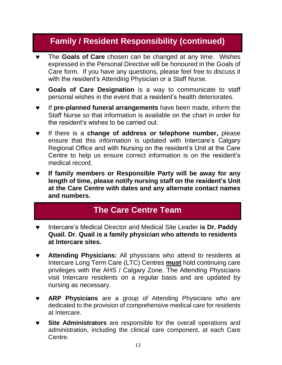## **Family / Resident Responsibility (continued)**

- The **Goals of Care** chosen can be changed at any time. Wishes expressed in the Personal Directive will be honoured in the Goals of Care form. If you have any questions, please feel free to discuss it with the resident's Attending Physician or a Staff Nurse.
- **Goals of Care Designation** is a way to communicate to staff personal wishes in the event that a resident's health deteriorates.
- If **pre-planned funeral arrangements** have been made, inform the Staff Nurse so that information is available on the chart in order for the resident's wishes to be carried out.
- If there is a **change of address or telephone number,** please ensure that this information is updated with Intercare's Calgary Regional Office and with Nursing on the resident's Unit at the Care Centre to help us ensure correct information is on the resident's medical record.
- **If family members or Responsible Party will be away for any length of time, please notify nursing staff on the resident's Unit at the Care Centre with dates and any alternate contact names and numbers.**

## **The Care Centre Team**

- Intercare's Medical Director and Medical Site Leader **is Dr. Paddy Quail. Dr. Quail is a family physician who attends to residents at Intercare sites.**
- **Attending Physicians:** All physicians who attend to residents at Intercare Long Term Care (LTC) Centres **must** hold continuing care privileges with the AHS / Calgary Zone. The Attending Physicians visit Intercare residents on a regular basis and are updated by nursing as necessary.
- **ARP Physicians** are a group of Attending Physicians who are dedicated to the provision of comprehensive medical care for residents at Intercare.
- **Site Administrators** are responsible for the overall operations and administration, including the clinical care component, at each Care Centre.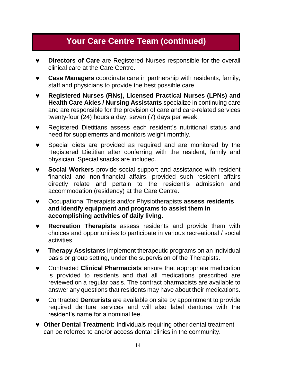## **Your Care Centre Team (continued)**

- **Directors of Care** are Registered Nurses responsible for the overall clinical care at the Care Centre.
- **Case Managers** coordinate care in partnership with residents, family, staff and physicians to provide the best possible care.
- **Registered Nurses (RNs), Licensed Practical Nurses (LPNs) and Health Care Aides / Nursing Assistants** specialize in continuing care and are responsible for the provision of care and care-related services twenty-four (24) hours a day, seven (7) days per week.
- Registered Dietitians assess each resident's nutritional status and need for supplements and monitors weight monthly.
- Special diets are provided as required and are monitored by the Registered Dietitian after conferring with the resident, family and physician. Special snacks are included.
- **Social Workers** provide social support and assistance with resident financial and non-financial affairs, provided such resident affairs directly relate and pertain to the resident's admission and accommodation (residency) at the Care Centre.
- Occupational Therapists and/or Physiotherapists **assess residents and identify equipment and programs to assist them in accomplishing activities of daily living.**
- **Recreation Therapists** assess residents and provide them with choices and opportunities to participate in various recreational / social activities.
- **Therapy Assistants** implement therapeutic programs on an individual basis or group setting, under the supervision of the Therapists.
- Contracted **Clinical Pharmacists** ensure that appropriate medication is provided to residents and that all medications prescribed are reviewed on a regular basis. The contract pharmacists are available to answer any questions that residents may have about their medications.
- Contracted **Denturists** are available on site by appointment to provide required denture services and will also label dentures with the resident's name for a nominal fee.
- **Other Dental Treatment:** Individuals requiring other dental treatment can be referred to and/or access dental clinics in the community.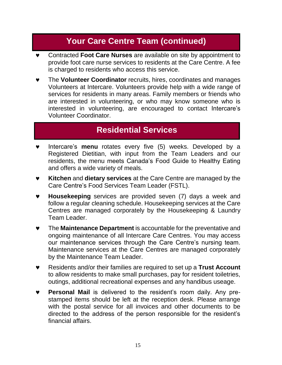## **Your Care Centre Team (continued)**

- Contracted **Foot Care Nurses** are available on site by appointment to provide foot care nurse services to residents at the Care Centre. A fee is charged to residents who access this service.
- The **Volunteer Coordinator** recruits, hires, coordinates and manages Volunteers at Intercare. Volunteers provide help with a wide range of services for residents in many areas. Family members or friends who are interested in volunteering, or who may know someone who is interested in volunteering, are encouraged to contact Intercare's Volunteer Coordinator.

#### **Residential Services**

- Intercare's **menu** rotates every five (5) weeks. Developed by a Registered Dietitian, with input from the Team Leaders and our residents, the menu meets Canada's Food Guide to Healthy Eating and offers a wide variety of meals.
- **Kitchen** and **dietary services** at the Care Centre are managed by the Care Centre's Food Services Team Leader (FSTL).
- **Housekeeping** services are provided seven (7) days a week and follow a regular cleaning schedule. Housekeeping services at the Care Centres are managed corporately by the Housekeeping & Laundry Team Leader.
- The **Maintenance Department** is accountable for the preventative and ongoing maintenance of all Intercare Care Centres. You may access our maintenance services through the Care Centre's nursing team. Maintenance services at the Care Centres are managed corporately by the Maintenance Team Leader.
- Residents and/or their families are required to set up a **Trust Account** to allow residents to make small purchases, pay for resident toiletries, outings, additional recreational expenses and any handibus useage.
- **Personal Mail** is delivered to the resident's room daily. Any prestamped items should be left at the reception desk. Please arrange with the postal service for all invoices and other documents to be directed to the address of the person responsible for the resident's financial affairs.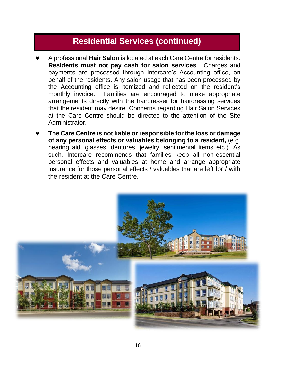#### **Residential Services (continued)**

- A professional **Hair Salon** is located at each Care Centre for residents. **Residents must not pay cash for salon services**. Charges and payments are processed through Intercare's Accounting office, on behalf of the residents. Any salon usage that has been processed by the Accounting office is itemized and reflected on the resident's monthly invoice. Families are encouraged to make appropriate arrangements directly with the hairdresser for hairdressing services that the resident may desire. Concerns regarding Hair Salon Services at the Care Centre should be directed to the attention of the Site Administrator.
- **The Care Centre is not liable or responsible for the loss or damage of any personal effects or valuables belonging to a resident,** (e.g. hearing aid, glasses, dentures, jewelry, sentimental items etc.). As such, Intercare recommends that families keep all non-essential personal effects and valuables at home and arrange appropriate insurance for those personal effects / valuables that are left for / with the resident at the Care Centre.

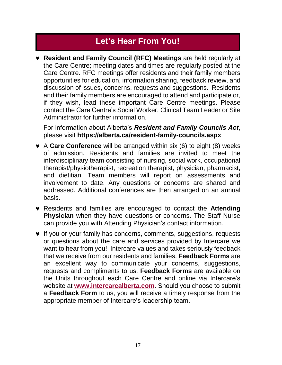# **Let's Hear From You!**

 **Resident and Family Council (RFC) Meetings** are held regularly at the Care Centre; meeting dates and times are regularly posted at the Care Centre. RFC meetings offer residents and their family members opportunities for education, information sharing, feedback review, and discussion of issues, concerns, requests and suggestions. Residents and their family members are encouraged to attend and participate or, if they wish, lead these important Care Centre meetings. Please contact the Care Centre's Social Worker, Clinical Team Leader or Site Administrator for further information.

For information about Alberta's *Resident and Family Councils Act*, please visit **https://alberta.ca/resident-family-councils.aspx**

- A **Care Conference** will be arranged within six (6) to eight (8) weeks of admission. Residents and families are invited to meet the interdisciplinary team consisting of nursing, social work, occupational therapist/physiotherapist, recreation therapist, physician, pharmacist, and dietitian. Team members will report on assessments and involvement to date. Any questions or concerns are shared and addressed. Additional conferences are then arranged on an annual basis.
- Residents and families are encouraged to contact the **Attending Physician** when they have questions or concerns. The Staff Nurse can provide you with Attending Physician's contact information.
- **v** If you or your family has concerns, comments, suggestions, requests or questions about the care and services provided by Intercare we want to hear from you! Intercare values and takes seriously feedback that we receive from our residents and families. **Feedback Forms** are an excellent way to communicate your concerns, suggestions, requests and compliments to us. **Feedback Forms** are available on the Units throughout each Care Centre and online via Intercare's website at **[www.intercarealberta.com](http://www.intercarealberta.com/)**. Should you choose to submit a **Feedback Form** to us, you will receive a timely response from the appropriate member of Intercare's leadership team.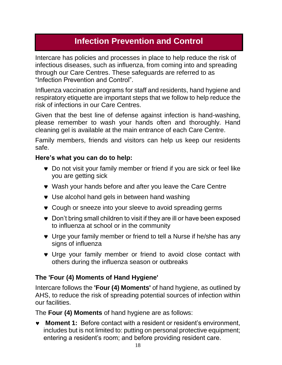# **Infection Prevention and Control**

Intercare has policies and processes in place to help reduce the risk of infectious diseases, such as influenza, from coming into and spreading through our Care Centres. These safeguards are referred to as "Infection Prevention and Control".

Influenza vaccination programs for staff and residents, hand hygiene and respiratory etiquette are important steps that we follow to help reduce the risk of infections in our Care Centres.

Given that the best line of defense against infection is hand-washing, please remember to wash your hands often and thoroughly. Hand cleaning gel is available at the main entrance of each Care Centre.

Family members, friends and visitors can help us keep our residents safe.

#### **Here's what you can do to help:**

- Do not visit your family member or friend if you are sick or feel like you are getting sick
- Wash your hands before and after you leave the Care Centre
- Use alcohol hand gels in between hand washing
- Cough or sneeze into your sleeve to avoid spreading germs
- Don't bring small children to visit if they are ill or have been exposed to influenza at school or in the community
- Urge your family member or friend to tell a Nurse if he/she has any signs of influenza
- Urge your family member or friend to avoid close contact with others during the influenza season or outbreaks

#### **The 'Four (4) Moments of Hand Hygiene'**

Intercare follows the **'Four (4) Moments'** of hand hygiene, as outlined by AHS, to reduce the risk of spreading potential sources of infection within our facilities.

The **Four (4) Moments** of hand hygiene are as follows:

 **Moment 1:** Before contact with a resident or resident's environment, includes but is not limited to: putting on personal protective equipment; entering a resident's room; and before providing resident care.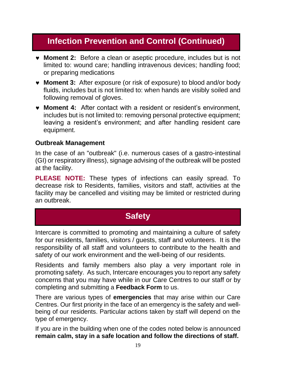# **Infection Prevention and Control (Continued)**

- **Moment 2:** Before a clean or aseptic procedure, includes but is not limited to: wound care; handling intravenous devices; handling food; or preparing medications
- **Moment 3:** After exposure (or risk of exposure) to blood and/or body fluids, includes but is not limited to: when hands are visibly soiled and following removal of gloves.
- **Moment 4:** After contact with a resident or resident's environment, includes but is not limited to: removing personal protective equipment; leaving a resident's environment; and after handling resident care equipment.

#### **Outbreak Management**

In the case of an "outbreak" (i.e. numerous cases of a gastro-intestinal (GI) or respiratory illness), signage advising of the outbreak will be posted at the facility.

**PLEASE NOTE:** These types of infections can easily spread. To decrease risk to Residents, families, visitors and staff, activities at the facility may be cancelled and visiting may be limited or restricted during an outbreak.

#### **Safety**

Intercare is committed to promoting and maintaining a culture of safety for our residents, families, visitors / guests, staff and volunteers. It is the responsibility of all staff and volunteers to contribute to the health and safety of our work environment and the well-being of our residents.

Residents and family members also play a very important role in promoting safety. As such, Intercare encourages you to report any safety concerns that you may have while in our Care Centres to our staff or by completing and submitting a **Feedback Form** to us.

There are various types of **emergencies** that may arise within our Care Centres. Our first priority in the face of an emergency is the safety and wellbeing of our residents. Particular actions taken by staff will depend on the type of emergency.

If you are in the building when one of the codes noted below is announced **remain calm, stay in a safe location and follow the directions of staff.**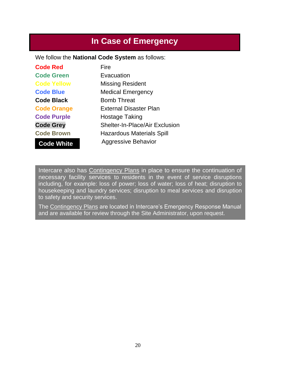# **In Case of Emergency**

We follow the **National Code System** as follows:

| <b>Code Red</b>    | Fire                                  |
|--------------------|---------------------------------------|
| <b>Code Green</b>  | Evacuation                            |
| <b>Code Yellow</b> | <b>Missing Resident</b>               |
| <b>Code Blue</b>   | <b>Medical Emergency</b>              |
| <b>Code Black</b>  | <b>Bomb Threat</b>                    |
| <b>Code Orange</b> | <b>External Disaster Plan</b>         |
| <b>Code Purple</b> | <b>Hostage Taking</b>                 |
| <b>Code Grey</b>   | <b>Shelter-In-Place/Air Exclusion</b> |
| <b>Code Brown</b>  | <b>Hazardous Materials Spill</b>      |
| <b>Code White</b>  | <b>Aggressive Behavior</b>            |

Intercare also has Contingency Plans in place to ensure the continuation of necessary facility services to residents in the event of service disruptions including, for example: loss of power; loss of water; loss of heat; disruption to housekeeping and laundry services; disruption to meal services and disruption to safety and security services.

The Contingency Plans are located in Intercare's Emergency Response Manual and are available for review through the Site Administrator, upon request.